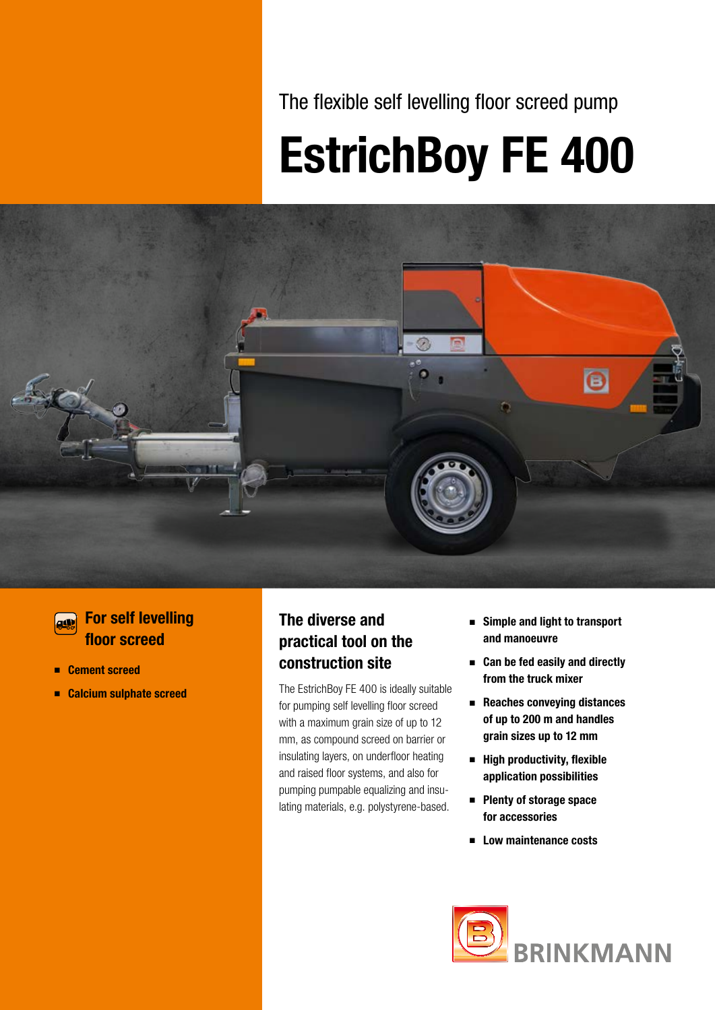The flexible self levelling floor screed pump

# EstrichBoy FE 400



### **For self levelling** floor screed

- Cement screed
- Calcium sulphate screed

### The diverse and practical tool on the construction site

The EstrichBoy FE 400 is ideally suitable for pumping self levelling floor screed with a maximum grain size of up to 12 mm, as compound screed on barrier or insulating layers, on underfloor heating and raised floor systems, and also for pumping pumpable equalizing and insulating materials, e.g. polystyrene-based.

- Simple and light to transport and manoeuvre
- Can be fed easily and directly from the truck mixer
- Reaches conveying distances of up to 200 m and handles grain sizes up to 12 mm
- High productivity, flexible application possibilities
- Plenty of storage space for accessories
- Low maintenance costs